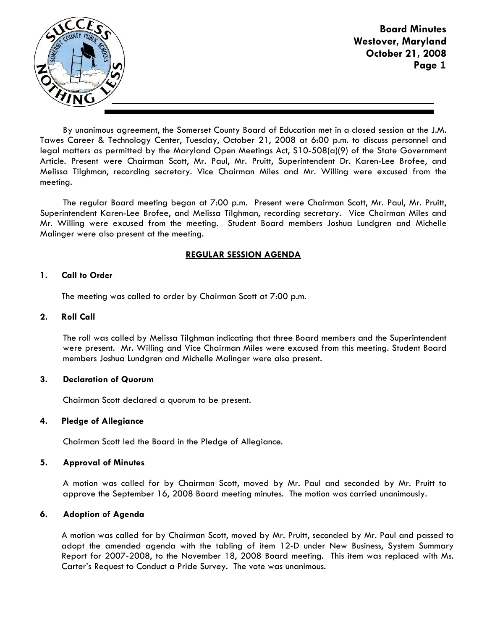

Board Minutes Westover, Maryland October 21, 2008 Page **1**

By unanimous agreement, the Somerset County Board of Education met in a closed session at the J.M. Tawes Career & Technology Center, Tuesday, October 21, 2008 at 6:00 p.m. to discuss personnel and legal matters as permitted by the Maryland Open Meetings Act, S10-508(a)(9) of the State Government Article. Present were Chairman Scott, Mr. Paul, Mr. Pruitt, Superintendent Dr. Karen-Lee Brofee, and Melissa Tilghman, recording secretary. Vice Chairman Miles and Mr. Willing were excused from the meeting.

The regular Board meeting began at 7:00 p.m. Present were Chairman Scott, Mr. Paul, Mr. Pruitt, Superintendent Karen-Lee Brofee, and Melissa Tilghman, recording secretary. Vice Chairman Miles and Mr. Willing were excused from the meeting. Student Board members Joshua Lundgren and Michelle Malinger were also present at the meeting.

# REGULAR SESSION AGENDA

### 1. Call to Order

The meeting was called to order by Chairman Scott at 7:00 p.m.

## 2. Roll Call

The roll was called by Melissa Tilghman indicating that three Board members and the Superintendent were present. Mr. Willing and Vice Chairman Miles were excused from this meeting. Student Board members Joshua Lundgren and Michelle Malinger were also present.

### 3. Declaration of Quorum

Chairman Scott declared a quorum to be present.

### 4. Pledge of Allegiance

Chairman Scott led the Board in the Pledge of Allegiance.

### 5. Approval of Minutes

A motion was called for by Chairman Scott, moved by Mr. Paul and seconded by Mr. Pruitt to approve the September 16, 2008 Board meeting minutes. The motion was carried unanimously.

# 6. Adoption of Agenda

 A motion was called for by Chairman Scott, moved by Mr. Pruitt, seconded by Mr. Paul and passed to adopt the amended agenda with the tabling of item 12-D under New Business, System Summary Report for 2007-2008, to the November 18, 2008 Board meeting. This item was replaced with Ms. Carter's Request to Conduct a Pride Survey. The vote was unanimous.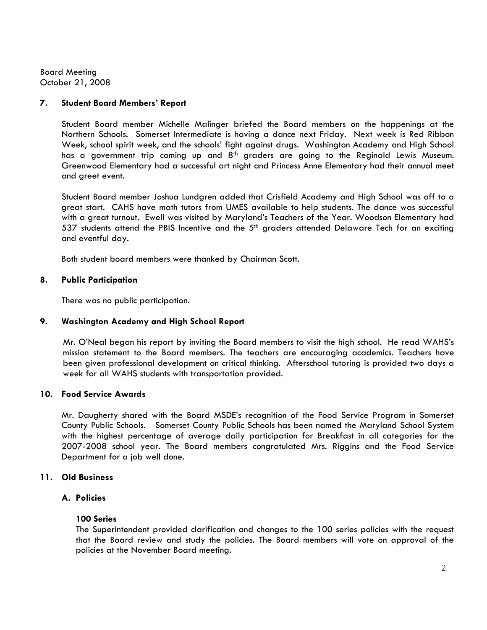Board Meeting October 21, 2008

## 7. Student Board Members' Report

Student Board member Michelle Malinger briefed the Board members on the happenings at the Northern Schools. Somerset Intermediate is having a dance next Friday. Next week is Red Ribbon Week, school spirit week, and the schools' fight against drugs. Washington Academy and High School has a government trip coming up and 8<sup>th</sup> graders are going to the Reginald Lewis Museum. Greenwood Elementary had a successful art night and Princess Anne Elementary had their annual meet and greet event.

 Student Board member Joshua Lundgren added that Crisfield Academy and High School was off to a great start. CAHS have math tutors from UMES available to help students. The dance was successful with a great turnout. Ewell was visited by Maryland's Teachers of the Year. Woodson Elementary had 537 students attend the PBIS Incentive and the  $5<sup>th</sup>$  graders attended Delaware Tech for an exciting and eventful day.

Both student board members were thanked by Chairman Scott.

## 8. Public Participation

There was no public participation.

### 9. Washington Academy and High School Report

 Mr. O'Neal began his report by inviting the Board members to visit the high school. He read WAHS's mission statement to the Board members. The teachers are encouraging academics. Teachers have been given professional development on critical thinking. Afterschool tutoring is provided two days a week for all WAHS students with transportation provided.

## 10. Food Service Awards

Mr. Daugherty shared with the Board MSDE's recognition of the Food Service Program in Somerset County Public Schools. Somerset County Public Schools has been named the Maryland School System with the highest percentage of average daily participation for Breakfast in all categories for the 2007-2008 school year. The Board members congratulated Mrs. Riggins and the Food Service Department for a job well done.

### 11. Old Business

## A. Policies

### 100 Series

The Superintendent provided clarification and changes to the 100 series policies with the request that the Board review and study the policies. The Board members will vote on approval of the policies at the November Board meeting.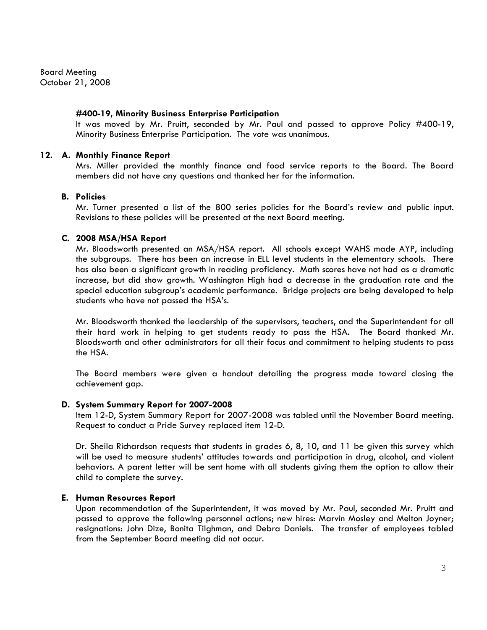Board Meeting October 21, 2008

#### #400-19, Minority Business Enterprise Participation

It was moved by Mr. Pruitt, seconded by Mr. Paul and passed to approve Policy #400-19, Minority Business Enterprise Participation. The vote was unanimous.

#### 12. A. Monthly Finance Report

Mrs. Miller provided the monthly finance and food service reports to the Board. The Board members did not have any questions and thanked her for the information.

#### B. Policies

Mr. Turner presented a list of the 800 series policies for the Board's review and public input. Revisions to these policies will be presented at the next Board meeting.

#### C. 2008 MSA/HSA Report

Mr. Bloodsworth presented an MSA/HSA report. All schools except WAHS made AYP, including the subgroups. There has been an increase in ELL level students in the elementary schools. There has also been a significant growth in reading proficiency. Math scores have not had as a dramatic increase, but did show growth. Washington High had a decrease in the graduation rate and the special education subgroup's academic performance. Bridge projects are being developed to help students who have not passed the HSA's.

Mr. Bloodsworth thanked the leadership of the supervisors, teachers, and the Superintendent for all their hard work in helping to get students ready to pass the HSA. The Board thanked Mr. Bloodsworth and other administrators for all their focus and commitment to helping students to pass the HSA.

The Board members were given a handout detailing the progress made toward closing the achievement gap.

#### D. System Summary Report for 2007-2008

Item 12-D, System Summary Report for 2007-2008 was tabled until the November Board meeting. Request to conduct a Pride Survey replaced item 12-D.

Dr. Sheila Richardson requests that students in grades 6, 8, 10, and 11 be given this survey which will be used to measure students' attitudes towards and participation in drug, alcohol, and violent behaviors. A parent letter will be sent home with all students giving them the option to allow their child to complete the survey.

#### E. Human Resources Report

Upon recommendation of the Superintendent, it was moved by Mr. Paul, seconded Mr. Pruitt and passed to approve the following personnel actions; new hires: Marvin Mosley and Melton Joyner; resignations: John Dize, Bonita Tilghman, and Debra Daniels. The transfer of employees tabled from the September Board meeting did not occur.